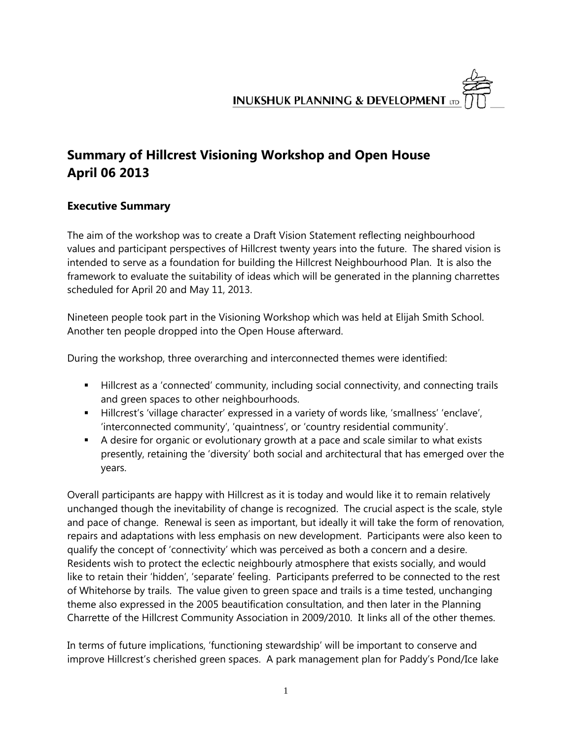# **Summary of Hillcrest Visioning Workshop and Open House April 06 2013**

# **Executive Summary**

The aim of the workshop was to create a Draft Vision Statement reflecting neighbourhood values and participant perspectives of Hillcrest twenty years into the future. The shared vision is intended to serve as a foundation for building the Hillcrest Neighbourhood Plan. It is also the framework to evaluate the suitability of ideas which will be generated in the planning charrettes scheduled for April 20 and May 11, 2013.

Nineteen people took part in the Visioning Workshop which was held at Elijah Smith School. Another ten people dropped into the Open House afterward.

During the workshop, three overarching and interconnected themes were identified:

- Hillcrest as a 'connected' community, including social connectivity, and connecting trails and green spaces to other neighbourhoods.
- Hillcrest's 'village character' expressed in a variety of words like, 'smallness' 'enclave', 'interconnected community', 'quaintness', or 'country residential community'.
- A desire for organic or evolutionary growth at a pace and scale similar to what exists presently, retaining the 'diversity' both social and architectural that has emerged over the years.

Overall participants are happy with Hillcrest as it is today and would like it to remain relatively unchanged though the inevitability of change is recognized. The crucial aspect is the scale, style and pace of change. Renewal is seen as important, but ideally it will take the form of renovation, repairs and adaptations with less emphasis on new development. Participants were also keen to qualify the concept of 'connectivity' which was perceived as both a concern and a desire. Residents wish to protect the eclectic neighbourly atmosphere that exists socially, and would like to retain their 'hidden', 'separate' feeling. Participants preferred to be connected to the rest of Whitehorse by trails. The value given to green space and trails is a time tested, unchanging theme also expressed in the 2005 beautification consultation, and then later in the Planning Charrette of the Hillcrest Community Association in 2009/2010. It links all of the other themes.

In terms of future implications, 'functioning stewardship' will be important to conserve and improve Hillcrest's cherished green spaces. A park management plan for Paddy's Pond/Ice lake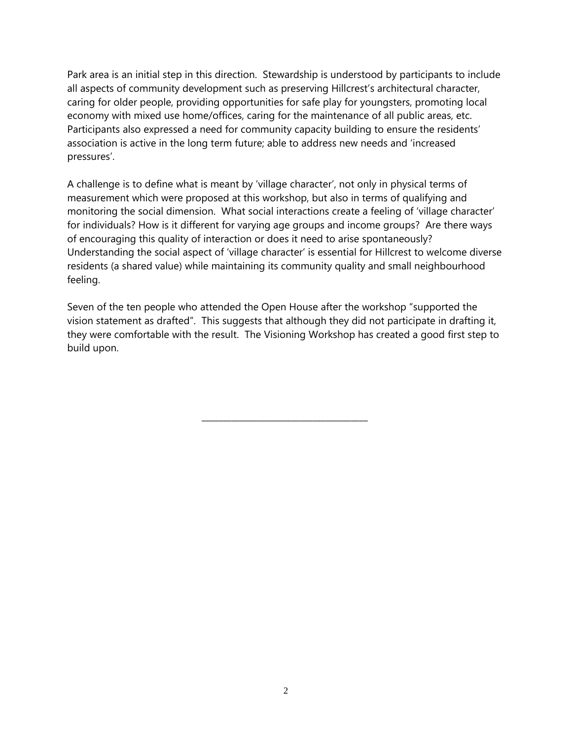Park area is an initial step in this direction. Stewardship is understood by participants to include all aspects of community development such as preserving Hillcrest's architectural character, caring for older people, providing opportunities for safe play for youngsters, promoting local economy with mixed use home/offices, caring for the maintenance of all public areas, etc. Participants also expressed a need for community capacity building to ensure the residents' association is active in the long term future; able to address new needs and 'increased pressures'.

A challenge is to define what is meant by 'village character', not only in physical terms of measurement which were proposed at this workshop, but also in terms of qualifying and monitoring the social dimension. What social interactions create a feeling of 'village character' for individuals? How is it different for varying age groups and income groups? Are there ways of encouraging this quality of interaction or does it need to arise spontaneously? Understanding the social aspect of 'village character' is essential for Hillcrest to welcome diverse residents (a shared value) while maintaining its community quality and small neighbourhood feeling.

Seven of the ten people who attended the Open House after the workshop "supported the vision statement as drafted". This suggests that although they did not participate in drafting it, they were comfortable with the result. The Visioning Workshop has created a good first step to build upon.

**\_\_\_\_\_\_\_\_\_\_\_\_\_\_\_\_\_\_\_\_\_\_\_\_\_\_\_\_\_\_\_\_\_\_\_\_\_\_\_**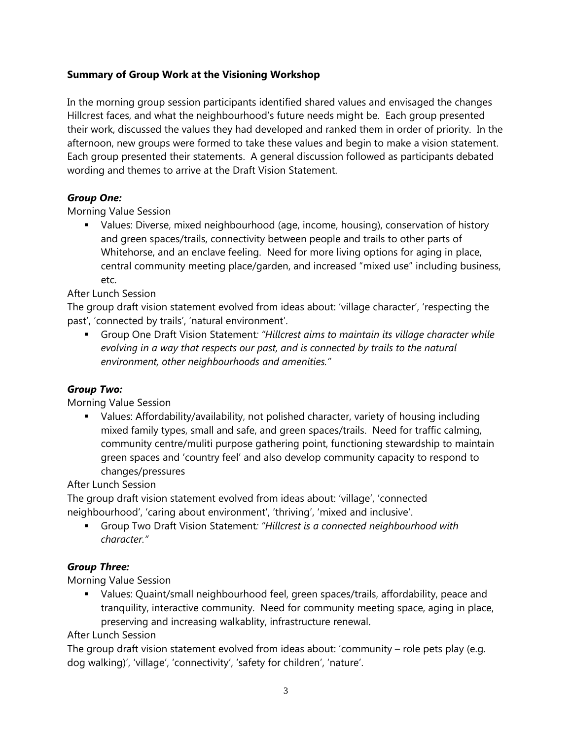## **Summary of Group Work at the Visioning Workshop**

In the morning group session participants identified shared values and envisaged the changes Hillcrest faces, and what the neighbourhood's future needs might be. Each group presented their work, discussed the values they had developed and ranked them in order of priority. In the afternoon, new groups were formed to take these values and begin to make a vision statement. Each group presented their statements. A general discussion followed as participants debated wording and themes to arrive at the Draft Vision Statement.

### *Group One:*

Morning Value Session

 Values: Diverse, mixed neighbourhood (age, income, housing), conservation of history and green spaces/trails, connectivity between people and trails to other parts of Whitehorse, and an enclave feeling. Need for more living options for aging in place, central community meeting place/garden, and increased "mixed use" including business, etc.

After Lunch Session

The group draft vision statement evolved from ideas about: 'village character', 'respecting the past', 'connected by trails', 'natural environment'.

 Group One Draft Vision Statement*: "Hillcrest aims to maintain its village character while evolving in a way that respects our past, and is connected by trails to the natural environment, other neighbourhoods and amenities."* 

### *Group Two:*

Morning Value Session

 Values: Affordability/availability, not polished character, variety of housing including mixed family types, small and safe, and green spaces/trails. Need for traffic calming, community centre/muliti purpose gathering point, functioning stewardship to maintain green spaces and 'country feel' and also develop community capacity to respond to changes/pressures

After Lunch Session

The group draft vision statement evolved from ideas about: 'village', 'connected neighbourhood', 'caring about environment', 'thriving', 'mixed and inclusive'.

 Group Two Draft Vision Statement*: "Hillcrest is a connected neighbourhood with character."* 

# *Group Three:*

Morning Value Session

 Values: Quaint/small neighbourhood feel, green spaces/trails, affordability, peace and tranquility, interactive community. Need for community meeting space, aging in place, preserving and increasing walkablity, infrastructure renewal.

After Lunch Session

The group draft vision statement evolved from ideas about: 'community – role pets play (e.g. dog walking)', 'village', 'connectivity', 'safety for children', 'nature'.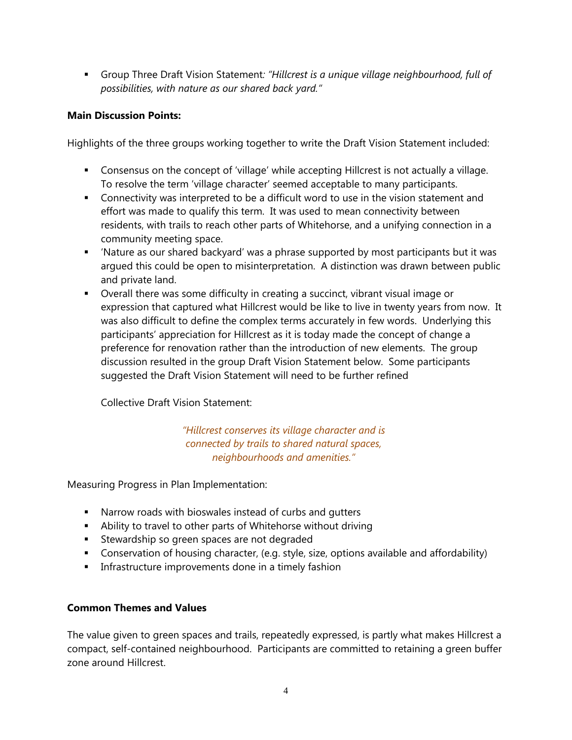Group Three Draft Vision Statement*: "Hillcrest is a unique village neighbourhood, full of possibilities, with nature as our shared back yard."* 

### **Main Discussion Points:**

Highlights of the three groups working together to write the Draft Vision Statement included:

- Consensus on the concept of 'village' while accepting Hillcrest is not actually a village. To resolve the term 'village character' seemed acceptable to many participants.
- Connectivity was interpreted to be a difficult word to use in the vision statement and effort was made to qualify this term. It was used to mean connectivity between residents, with trails to reach other parts of Whitehorse, and a unifying connection in a community meeting space.
- 'Nature as our shared backyard' was a phrase supported by most participants but it was argued this could be open to misinterpretation. A distinction was drawn between public and private land.
- Overall there was some difficulty in creating a succinct, vibrant visual image or expression that captured what Hillcrest would be like to live in twenty years from now. It was also difficult to define the complex terms accurately in few words. Underlying this participants' appreciation for Hillcrest as it is today made the concept of change a preference for renovation rather than the introduction of new elements. The group discussion resulted in the group Draft Vision Statement below. Some participants suggested the Draft Vision Statement will need to be further refined

Collective Draft Vision Statement:

*"Hillcrest conserves its village character and is connected by trails to shared natural spaces, neighbourhoods and amenities."* 

Measuring Progress in Plan Implementation:

- Narrow roads with bioswales instead of curbs and gutters
- Ability to travel to other parts of Whitehorse without driving
- **Stewardship so green spaces are not degraded**
- Conservation of housing character, (e.g. style, size, options available and affordability)
- **Infrastructure improvements done in a timely fashion**

#### **Common Themes and Values**

The value given to green spaces and trails, repeatedly expressed, is partly what makes Hillcrest a compact, self-contained neighbourhood. Participants are committed to retaining a green buffer zone around Hillcrest.